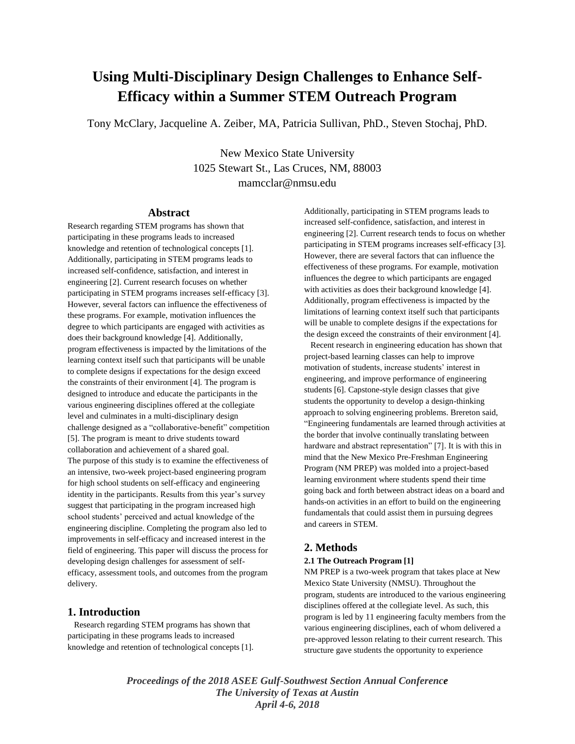# **Using Multi-Disciplinary Design Challenges to Enhance Self-Efficacy within a Summer STEM Outreach Program**

Tony McClary, Jacqueline A. Zeiber, MA, Patricia Sullivan, PhD., Steven Stochaj, PhD.

New Mexico State University 1025 Stewart St., Las Cruces, NM, 88003 mamcclar@nmsu.edu

#### **Abstract**

Research regarding STEM programs has shown that participating in these programs leads to increased knowledge and retention of technological concepts [1]. Additionally, participating in STEM programs leads to increased self-confidence, satisfaction, and interest in engineering [2]. Current research focuses on whether participating in STEM programs increases self-efficacy [3]. However, several factors can influence the effectiveness of these programs. For example, motivation influences the degree to which participants are engaged with activities as does their background knowledge [4]. Additionally, program effectiveness is impacted by the limitations of the learning context itself such that participants will be unable to complete designs if expectations for the design exceed the constraints of their environment [4]. The program is designed to introduce and educate the participants in the various engineering disciplines offered at the collegiate level and culminates in a multi-disciplinary design challenge designed as a "collaborative-benefit" competition [5]. The program is meant to drive students toward collaboration and achievement of a shared goal. The purpose of this study is to examine the effectiveness of an intensive, two-week project-based engineering program for high school students on self-efficacy and engineering identity in the participants. Results from this year's survey suggest that participating in the program increased high school students' perceived and actual knowledge of the engineering discipline. Completing the program also led to improvements in self-efficacy and increased interest in the field of engineering. This paper will discuss the process for developing design challenges for assessment of selfefficacy, assessment tools, and outcomes from the program delivery.

# **1. Introduction**

 Research regarding STEM programs has shown that participating in these programs leads to increased knowledge and retention of technological concepts [1]. Additionally, participating in STEM programs leads to increased self-confidence, satisfaction, and interest in engineering [2]. Current research tends to focus on whether participating in STEM programs increases self-efficacy [3]. However, there are several factors that can influence the effectiveness of these programs. For example, motivation influences the degree to which participants are engaged with activities as does their background knowledge [4]. Additionally, program effectiveness is impacted by the limitations of learning context itself such that participants will be unable to complete designs if the expectations for the design exceed the constraints of their environment [4].

 Recent research in engineering education has shown that project-based learning classes can help to improve motivation of students, increase students' interest in engineering, and improve performance of engineering students [6]. Capstone-style design classes that give students the opportunity to develop a design-thinking approach to solving engineering problems. Brereton said, "Engineering fundamentals are learned through activities at the border that involve continually translating between hardware and abstract representation" [7]. It is with this in mind that the New Mexico Pre-Freshman Engineering Program (NM PREP) was molded into a project-based learning environment where students spend their time going back and forth between abstract ideas on a board and hands-on activities in an effort to build on the engineering fundamentals that could assist them in pursuing degrees and careers in STEM.

# **2. Methods**

### **2.1 The Outreach Program [1]**

NM PREP is a two-week program that takes place at New Mexico State University (NMSU). Throughout the program, students are introduced to the various engineering disciplines offered at the collegiate level. As such, this program is led by 11 engineering faculty members from the various engineering disciplines, each of whom delivered a pre-approved lesson relating to their current research. This structure gave students the opportunity to experience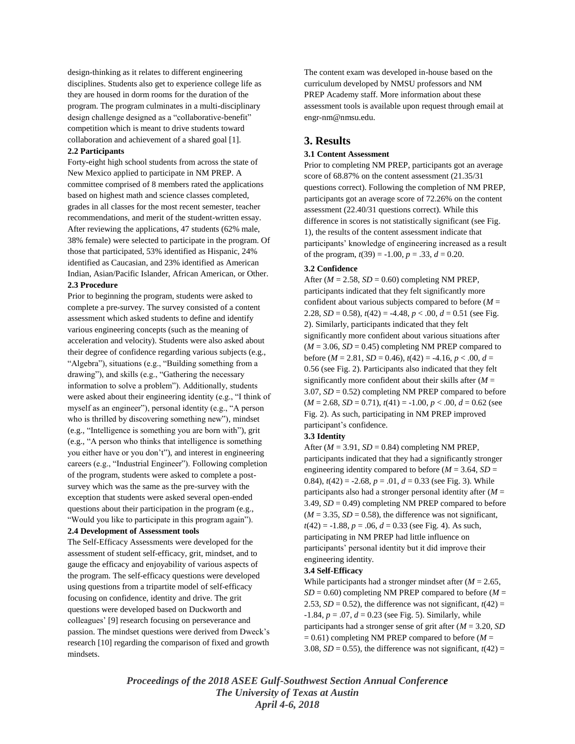design-thinking as it relates to different engineering disciplines. Students also get to experience college life as they are housed in dorm rooms for the duration of the program. The program culminates in a multi-disciplinary design challenge designed as a "collaborative-benefit" competition which is meant to drive students toward collaboration and achievement of a shared goal [1].

#### **2.2 Participants**

Forty-eight high school students from across the state of New Mexico applied to participate in NM PREP. A committee comprised of 8 members rated the applications based on highest math and science classes completed, grades in all classes for the most recent semester, teacher recommendations, and merit of the student-written essay. After reviewing the applications, 47 students (62% male, 38% female) were selected to participate in the program. Of those that participated, 53% identified as Hispanic, 24% identified as Caucasian, and 23% identified as American Indian, Asian/Pacific Islander, African American, or Other. **2.3 Procedure**

Prior to beginning the program, students were asked to complete a pre-survey. The survey consisted of a content assessment which asked students to define and identify various engineering concepts (such as the meaning of acceleration and velocity). Students were also asked about their degree of confidence regarding various subjects (e.g., "Algebra"), situations (e.g., "Building something from a drawing"), and skills (e.g., "Gathering the necessary information to solve a problem"). Additionally, students were asked about their engineering identity (e.g., "I think of myself as an engineer"), personal identity (e.g., "A person who is thrilled by discovering something new"), mindset (e.g., "Intelligence is something you are born with"), grit (e.g., "A person who thinks that intelligence is something you either have or you don't"), and interest in engineering careers (e.g., "Industrial Engineer"). Following completion of the program, students were asked to complete a postsurvey which was the same as the pre-survey with the exception that students were asked several open-ended questions about their participation in the program (e.g., "Would you like to participate in this program again").

#### **2.4 Development of Assessment tools**

The Self-Efficacy Assessments were developed for the assessment of student self-efficacy, grit, mindset, and to gauge the efficacy and enjoyability of various aspects of the program. The self-efficacy questions were developed using questions from a tripartite model of self-efficacy focusing on confidence, identity and drive. The grit questions were developed based on Duckworth and colleagues' [9] research focusing on perseverance and passion. The mindset questions were derived from Dweck's research [10] regarding the comparison of fixed and growth mindsets.

The content exam was developed in-house based on the curriculum developed by NMSU professors and NM PREP Academy staff. More information about these assessment tools is available upon request through email at engr-nm@nmsu.edu.

# **3. Results**

#### **3.1 Content Assessment**

Prior to completing NM PREP, participants got an average score of 68.87% on the content assessment (21.35/31 questions correct). Following the completion of NM PREP, participants got an average score of 72.26% on the content assessment (22.40/31 questions correct). While this difference in scores is not statistically significant (see Fig. 1), the results of the content assessment indicate that participants' knowledge of engineering increased as a result of the program,  $t(39) = -1.00$ ,  $p = .33$ ,  $d = 0.20$ .

#### **3.2 Confidence**

After  $(M = 2.58, SD = 0.60)$  completing NM PREP, participants indicated that they felt significantly more confident about various subjects compared to before  $(M =$ 2.28,  $SD = 0.58$ ),  $t(42) = -4.48$ ,  $p < .00$ ,  $d = 0.51$  (see Fig. 2). Similarly, participants indicated that they felt significantly more confident about various situations after  $(M = 3.06, SD = 0.45)$  completing NM PREP compared to before ( $M = 2.81$ ,  $SD = 0.46$ ),  $t(42) = -4.16$ ,  $p < .00$ ,  $d =$ 0.56 (see Fig. 2). Participants also indicated that they felt significantly more confident about their skills after  $(M =$ 3.07, *SD* = 0.52) completing NM PREP compared to before  $(M = 2.68, SD = 0.71), t(41) = -1.00, p < .00, d = 0.62$  (see Fig. 2). As such, participating in NM PREP improved participant's confidence.

#### **3.3 Identity**

After  $(M = 3.91, SD = 0.84)$  completing NM PREP, participants indicated that they had a significantly stronger engineering identity compared to before ( $M = 3.64$ ,  $SD =$ 0.84),  $t(42) = -2.68$ ,  $p = .01$ ,  $d = 0.33$  (see Fig. 3). While participants also had a stronger personal identity after (*M* = 3.49,  $SD = 0.49$  completing NM PREP compared to before  $(M = 3.35, SD = 0.58)$ , the difference was not significant,  $t(42) = -1.88$ ,  $p = .06$ ,  $d = 0.33$  (see Fig. 4). As such, participating in NM PREP had little influence on participants' personal identity but it did improve their engineering identity.

## **3.4 Self-Efficacy**

While participants had a stronger mindset after (*M* = 2.65,  $SD = 0.60$ ) completing NM PREP compared to before ( $M =$ 2.53,  $SD = 0.52$ ), the difference was not significant,  $t(42) =$  $-1.84, p = .07, d = 0.23$  (see Fig. 5). Similarly, while participants had a stronger sense of grit after (*M* = 3.20, *SD*  $= 0.61$ ) completing NM PREP compared to before ( $M =$ 3.08,  $SD = 0.55$ ), the difference was not significant,  $t(42) =$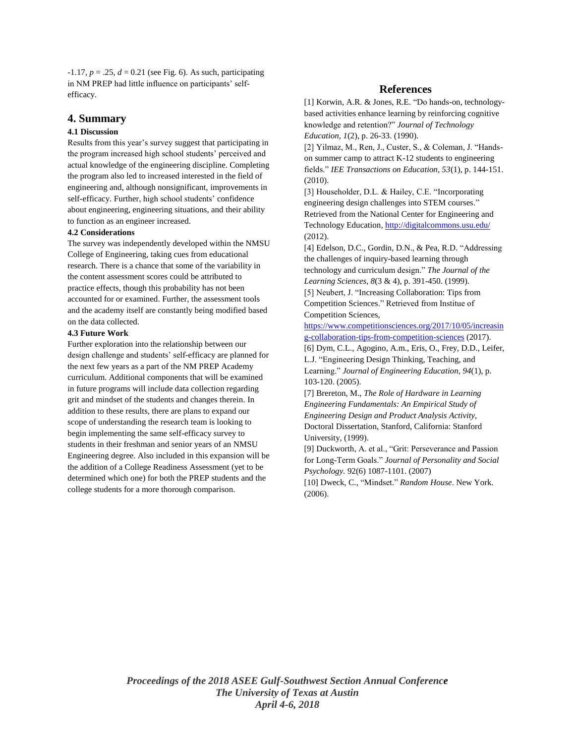$-1.17, p = .25, d = 0.21$  (see Fig. 6). As such, participating in NM PREP had little influence on participants' selfefficacy.

## **4. Summary**

## **4.1 Discussion**

Results from this year's survey suggest that participating in the program increased high school students' perceived and actual knowledge of the engineering discipline. Completing the program also led to increased interested in the field of engineering and, although nonsignificant, improvements in self-efficacy. Further, high school students' confidence about engineering, engineering situations, and their ability to function as an engineer increased.

#### **4.2 Considerations**

The survey was independently developed within the NMSU College of Engineering, taking cues from educational research. There is a chance that some of the variability in the content assessment scores could be attributed to practice effects, though this probability has not been accounted for or examined. Further, the assessment tools and the academy itself are constantly being modified based on the data collected.

#### **4.3 Future Work**

Further exploration into the relationship between our design challenge and students' self-efficacy are planned for the next few years as a part of the NM PREP Academy curriculum. Additional components that will be examined in future programs will include data collection regarding grit and mindset of the students and changes therein. In addition to these results, there are plans to expand our scope of understanding the research team is looking to begin implementing the same self-efficacy survey to students in their freshman and senior years of an NMSU Engineering degree. Also included in this expansion will be the addition of a College Readiness Assessment (yet to be determined which one) for both the PREP students and the college students for a more thorough comparison.

# **References**

[1] Korwin, A.R. & Jones, R.E. "Do hands-on, technologybased activities enhance learning by reinforcing cognitive knowledge and retention?" *Journal of Technology Education, 1*(2), p. 26-33. (1990).

[2] Yilmaz, M., Ren, J., Custer, S., & Coleman, J. "Handson summer camp to attract K-12 students to engineering fields." *IEE Transactions on Education, 53*(1), p. 144-151. (2010).

[3] Householder, D.L. & Hailey, C.E. "Incorporating engineering design challenges into STEM courses." Retrieved from the National Center for Engineering and Technology Education[, http://digitalcommons.usu.edu/](http://digitalcommons.usu.edu/) (2012).

[4] Edelson, D.C., Gordin, D.N., & Pea, R.D. "Addressing the challenges of inquiry-based learning through technology and curriculum design." *The Journal of the Learning Sciences, 8*(3 & 4), p. 391-450. (1999).

[5] Neubert, J. "Increasing Collaboration: Tips from Competition Sciences." Retrieved from Institue of Competition Sciences,

[https://www.competitionsciences.org/2017/10/05/increasin](https://www.competitionsciences.org/2017/10/05/increasing-collaboration-tips-from-competition-sciences) [g-collaboration-tips-from-competition-sciences](https://www.competitionsciences.org/2017/10/05/increasing-collaboration-tips-from-competition-sciences) (2017).

[6] Dym, C.L., Agogino, A.m., Eris, O., Frey, D.D., Leifer, L.J. "Engineering Design Thinking, Teaching, and Learning." *Journal of Engineering Education, 94*(1), p. 103-120. (2005).

[7] Brereton, M., *The Role of Hardware in Learning Engineering Fundamentals: An Empirical Study of Engineering Design and Product Analysis Activity*, Doctoral Dissertation, Stanford, California: Stanford University, (1999).

[9] Duckworth, A. et al., "Grit: Perseverance and Passion for Long-Term Goals." *Journal of Personality and Social Psychology.* 92(6) 1087-1101. (2007)

[10] Dweck, C., "Mindset." *Random House*. New York. (2006).